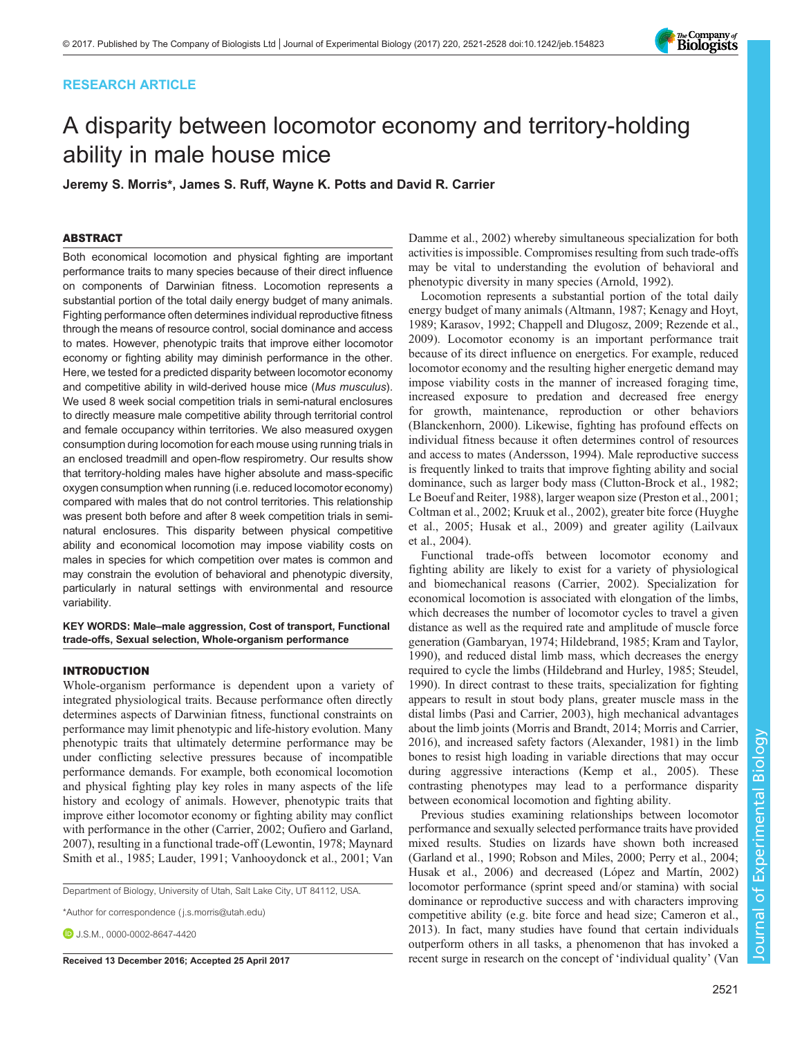# RESEARCH ARTICLE



# A disparity between locomotor economy and territory-holding ability in male house mice

Jeremy S. Morris\*, James S. Ruff, Wayne K. Potts and David R. Carrier

# ABSTRACT

Both economical locomotion and physical fighting are important performance traits to many species because of their direct influence on components of Darwinian fitness. Locomotion represents a substantial portion of the total daily energy budget of many animals. Fighting performance often determines individual reproductive fitness through the means of resource control, social dominance and access to mates. However, phenotypic traits that improve either locomotor economy or fighting ability may diminish performance in the other. Here, we tested for a predicted disparity between locomotor economy and competitive ability in wild-derived house mice (Mus musculus). We used 8 week social competition trials in semi-natural enclosures to directly measure male competitive ability through territorial control and female occupancy within territories. We also measured oxygen consumption during locomotion for each mouse using running trials in an enclosed treadmill and open-flow respirometry. Our results show that territory-holding males have higher absolute and mass-specific oxygen consumption when running (i.e. reduced locomotor economy) compared with males that do not control territories. This relationship was present both before and after 8 week competition trials in seminatural enclosures. This disparity between physical competitive ability and economical locomotion may impose viability costs on males in species for which competition over mates is common and may constrain the evolution of behavioral and phenotypic diversity, particularly in natural settings with environmental and resource variability.

KEY WORDS: Male–male aggression, Cost of transport, Functional trade-offs, Sexual selection, Whole-organism performance

# INTRODUCTION

Whole-organism performance is dependent upon a variety of integrated physiological traits. Because performance often directly determines aspects of Darwinian fitness, functional constraints on performance may limit phenotypic and life-history evolution. Many phenotypic traits that ultimately determine performance may be under conflicting selective pressures because of incompatible performance demands. For example, both economical locomotion and physical fighting play key roles in many aspects of the life history and ecology of animals. However, phenotypic traits that improve either locomotor economy or fighting ability may conflict with performance in the other ([Carrier, 2002](#page-6-0); [Oufiero and Garland,](#page-7-0) [2007](#page-7-0)), resulting in a functional trade-off [\(Lewontin, 1978; Maynard](#page-6-0) [Smith et al., 1985; Lauder, 1991](#page-6-0); [Vanhooydonck et al., 2001](#page-7-0); [Van](#page-7-0)

Department of Biology, University of Utah, Salt Lake City, UT 84112, USA.

\*Author for correspondence [\( j.s.morris@utah.edu](mailto:j.s.morris@utah.edu))

 $D_{J.S.M.0000-0002-8647-4420}$ 

[Damme et al., 2002\)](#page-7-0) whereby simultaneous specialization for both activities is impossible. Compromises resulting from such trade-offs may be vital to understanding the evolution of behavioral and phenotypic diversity in many species [\(Arnold, 1992](#page-6-0)).

Locomotion represents a substantial portion of the total daily energy budget of many animals ([Altmann, 1987](#page-6-0); [Kenagy and Hoyt,](#page-6-0) [1989; Karasov, 1992; Chappell and Dlugosz, 2009;](#page-6-0) [Rezende et al.,](#page-7-0) [2009\)](#page-7-0). Locomotor economy is an important performance trait because of its direct influence on energetics. For example, reduced locomotor economy and the resulting higher energetic demand may impose viability costs in the manner of increased foraging time, increased exposure to predation and decreased free energy for growth, maintenance, reproduction or other behaviors [\(Blanckenhorn, 2000](#page-6-0)). Likewise, fighting has profound effects on individual fitness because it often determines control of resources and access to mates ([Andersson, 1994](#page-6-0)). Male reproductive success is frequently linked to traits that improve fighting ability and social dominance, such as larger body mass [\(Clutton-Brock et al., 1982](#page-6-0); [Le Boeuf and Reiter, 1988\)](#page-6-0), larger weapon size [\(Preston et al., 2001](#page-7-0); [Coltman et al., 2002](#page-6-0); [Kruuk et al., 2002\)](#page-6-0), greater bite force ([Huyghe](#page-6-0) [et al., 2005; Husak et al., 2009\)](#page-6-0) and greater agility [\(Lailvaux](#page-6-0) [et al., 2004\)](#page-6-0).

Functional trade-offs between locomotor economy and fighting ability are likely to exist for a variety of physiological and biomechanical reasons [\(Carrier, 2002\)](#page-6-0). Specialization for economical locomotion is associated with elongation of the limbs, which decreases the number of locomotor cycles to travel a given distance as well as the required rate and amplitude of muscle force generation [\(Gambaryan, 1974; Hildebrand, 1985; Kram and Taylor,](#page-6-0) [1990\)](#page-6-0), and reduced distal limb mass, which decreases the energy required to cycle the limbs ([Hildebrand and Hurley, 1985](#page-6-0); [Steudel,](#page-7-0) [1990\)](#page-7-0). In direct contrast to these traits, specialization for fighting appears to result in stout body plans, greater muscle mass in the distal limbs [\(Pasi and Carrier, 2003\)](#page-7-0), high mechanical advantages about the limb joints [\(Morris and Brandt, 2014;](#page-6-0) [Morris and Carrier,](#page-7-0) [2016\)](#page-7-0), and increased safety factors ([Alexander, 1981](#page-6-0)) in the limb bones to resist high loading in variable directions that may occur during aggressive interactions [\(Kemp et al., 2005](#page-6-0)). These contrasting phenotypes may lead to a performance disparity between economical locomotion and fighting ability.

Previous studies examining relationships between locomotor performance and sexually selected performance traits have provided mixed results. Studies on lizards have shown both increased [\(Garland et al., 1990](#page-6-0); [Robson and Miles, 2000](#page-7-0); [Perry et al., 2004](#page-7-0); [Husak et al., 2006\)](#page-6-0) and decreased [\(López and Martín, 2002\)](#page-6-0) locomotor performance (sprint speed and/or stamina) with social dominance or reproductive success and with characters improving competitive ability (e.g. bite force and head size; [Cameron et al.,](#page-6-0) [2013\)](#page-6-0). In fact, many studies have found that certain individuals outperform others in all tasks, a phenomenon that has invoked a Received 13 December 2016; Accepted 25 April 2017 recent surge in research on the concept of 'individual quality' [\(Van](#page-7-0)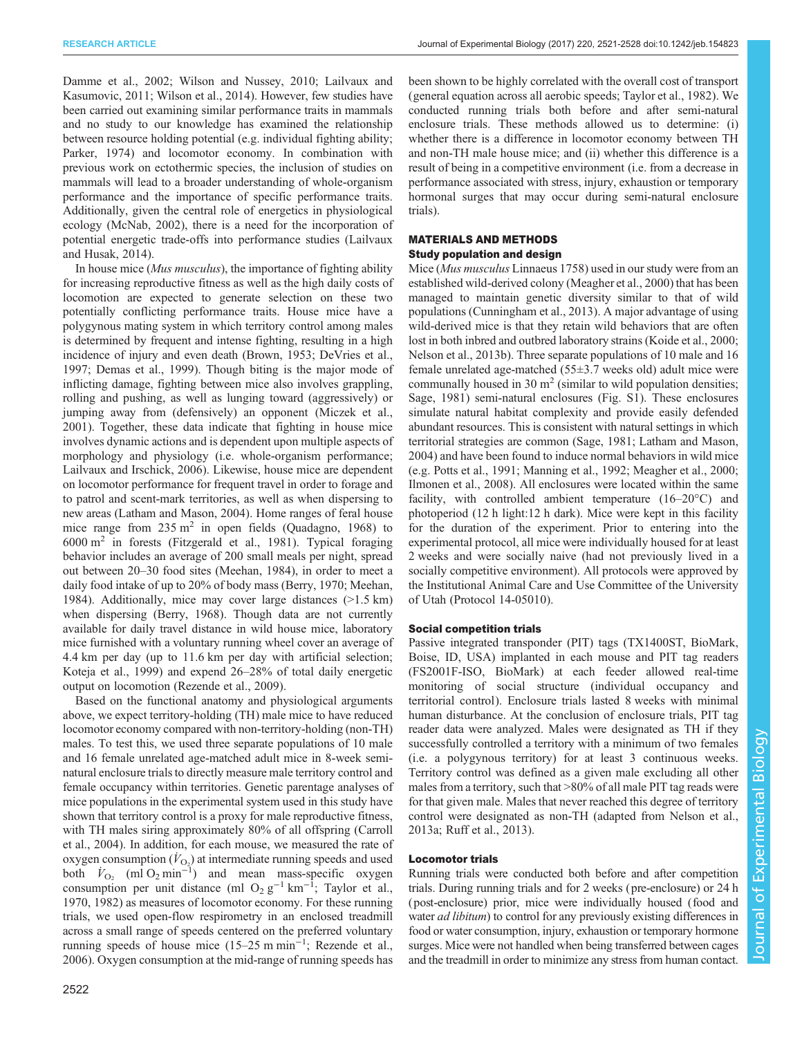[Damme et al., 2002](#page-7-0); [Wilson and Nussey, 2010;](#page-7-0) [Lailvaux and](#page-6-0) [Kasumovic, 2011;](#page-6-0) [Wilson et al., 2014](#page-7-0)). However, few studies have been carried out examining similar performance traits in mammals and no study to our knowledge has examined the relationship between resource holding potential (e.g. individual fighting ability; [Parker, 1974\)](#page-7-0) and locomotor economy. In combination with previous work on ectothermic species, the inclusion of studies on mammals will lead to a broader understanding of whole-organism performance and the importance of specific performance traits. Additionally, given the central role of energetics in physiological ecology ([McNab, 2002\)](#page-6-0), there is a need for the incorporation of potential energetic trade-offs into performance studies ([Lailvaux](#page-6-0) [and Husak, 2014\)](#page-6-0).

In house mice (Mus musculus), the importance of fighting ability for increasing reproductive fitness as well as the high daily costs of locomotion are expected to generate selection on these two potentially conflicting performance traits. House mice have a polygynous mating system in which territory control among males is determined by frequent and intense fighting, resulting in a high incidence of injury and even death [\(Brown, 1953](#page-6-0); [DeVries et al.,](#page-6-0) [1997](#page-6-0); [Demas et al., 1999](#page-6-0)). Though biting is the major mode of inflicting damage, fighting between mice also involves grappling, rolling and pushing, as well as lunging toward (aggressively) or jumping away from (defensively) an opponent ([Miczek et al.,](#page-6-0) [2001](#page-6-0)). Together, these data indicate that fighting in house mice involves dynamic actions and is dependent upon multiple aspects of morphology and physiology (i.e. whole-organism performance; [Lailvaux and Irschick, 2006\)](#page-6-0). Likewise, house mice are dependent on locomotor performance for frequent travel in order to forage and to patrol and scent-mark territories, as well as when dispersing to new areas ([Latham and Mason, 2004\)](#page-6-0). Home ranges of feral house mice range from  $235 \text{ m}^2$  in open fields ([Quadagno, 1968](#page-7-0)) to  $6000 \text{ m}^2$  in forests ([Fitzgerald et al., 1981](#page-6-0)). Typical foraging behavior includes an average of 200 small meals per night, spread out between 20–30 food sites [\(Meehan, 1984](#page-6-0)), in order to meet a daily food intake of up to 20% of body mass ([Berry, 1970; Meehan,](#page-6-0) [1984](#page-6-0)). Additionally, mice may cover large distances (>1.5 km) when dispersing [\(Berry, 1968\)](#page-6-0). Though data are not currently available for daily travel distance in wild house mice, laboratory mice furnished with a voluntary running wheel cover an average of 4.4 km per day (up to 11.6 km per day with artificial selection; [Koteja et al., 1999](#page-6-0)) and expend 26–28% of total daily energetic output on locomotion ([Rezende et al., 2009](#page-7-0)).

Based on the functional anatomy and physiological arguments above, we expect territory-holding (TH) male mice to have reduced locomotor economy compared with non-territory-holding (non-TH) males. To test this, we used three separate populations of 10 male and 16 female unrelated age-matched adult mice in 8-week seminatural enclosure trials to directly measure male territory control and female occupancy within territories. Genetic parentage analyses of mice populations in the experimental system used in this study have shown that territory control is a proxy for male reproductive fitness, with TH males siring approximately 80% of all offspring ([Carroll](#page-6-0) [et al., 2004\)](#page-6-0). In addition, for each mouse, we measured the rate of oxygen consumption  $(V<sub>O2</sub>)$  at intermediate running speeds and used both  $\dot{V}_{\text{O}_2}$  (ml O<sub>2</sub> min<sup>-1</sup>) and mean mass-specific oxygen consumption per unit distance (ml O<sub>2</sub> g<sup>-1</sup> km<sup>-1</sup>; [Taylor et al.,](#page-7-0) [1970](#page-7-0), [1982\)](#page-7-0) as measures of locomotor economy. For these running trials, we used open-flow respirometry in an enclosed treadmill across a small range of speeds centered on the preferred voluntary running speeds of house mice (15–25 m min−<sup>1</sup> ; [Rezende et al.,](#page-7-0) [2006](#page-7-0)). Oxygen consumption at the mid-range of running speeds has

2522

been shown to be highly correlated with the overall cost of transport (general equation across all aerobic speeds; [Taylor et al., 1982\)](#page-7-0). We conducted running trials both before and after semi-natural enclosure trials. These methods allowed us to determine: (i) whether there is a difference in locomotor economy between TH and non-TH male house mice; and (ii) whether this difference is a result of being in a competitive environment (i.e. from a decrease in performance associated with stress, injury, exhaustion or temporary hormonal surges that may occur during semi-natural enclosure trials).

## MATERIALS AND METHODS Study population and design

Mice (Mus musculus Linnaeus 1758) used in our study were from an established wild-derived colony ([Meagher et al., 2000](#page-6-0)) that has been managed to maintain genetic diversity similar to that of wild populations ([Cunningham et al., 2013](#page-6-0)). A major advantage of using wild-derived mice is that they retain wild behaviors that are often lost in both inbred and outbred laboratory strains ([Koide et al., 2000](#page-6-0); [Nelson et al., 2013b](#page-7-0)). Three separate populations of 10 male and 16 female unrelated age-matched (55±3.7 weeks old) adult mice were communally housed in 30  $m<sup>2</sup>$  (similar to wild population densities; [Sage, 1981\)](#page-7-0) semi-natural enclosures ([Fig. S1\)](http://jeb.biologists.org/lookup/doi/10.1242/jeb.154823.supplemental). These enclosures simulate natural habitat complexity and provide easily defended abundant resources. This is consistent with natural settings in which territorial strategies are common [\(Sage, 1981;](#page-7-0) [Latham and Mason,](#page-6-0) [2004\)](#page-6-0) and have been found to induce normal behaviors in wild mice (e.g. [Potts et al., 1991;](#page-7-0) [Manning et al., 1992](#page-6-0); [Meagher et al., 2000](#page-6-0); [Ilmonen et al., 2008\)](#page-6-0). All enclosures were located within the same facility, with controlled ambient temperature (16–20°C) and photoperiod (12 h light:12 h dark). Mice were kept in this facility for the duration of the experiment. Prior to entering into the experimental protocol, all mice were individually housed for at least 2 weeks and were socially naive (had not previously lived in a socially competitive environment). All protocols were approved by the Institutional Animal Care and Use Committee of the University of Utah (Protocol 14-05010).

## Social competition trials

Passive integrated transponder (PIT) tags (TX1400ST, BioMark, Boise, ID, USA) implanted in each mouse and PIT tag readers (FS2001F-ISO, BioMark) at each feeder allowed real-time monitoring of social structure (individual occupancy and territorial control). Enclosure trials lasted 8 weeks with minimal human disturbance. At the conclusion of enclosure trials, PIT tag reader data were analyzed. Males were designated as TH if they successfully controlled a territory with a minimum of two females (i.e. a polygynous territory) for at least 3 continuous weeks. Territory control was defined as a given male excluding all other males from a territory, such that >80% of all male PIT tag reads were for that given male. Males that never reached this degree of territory control were designated as non-TH (adapted from [Nelson et al.,](#page-7-0) [2013a](#page-7-0); [Ruff et al., 2013\)](#page-7-0).

## Locomotor trials

Running trials were conducted both before and after competition trials. During running trials and for 2 weeks (pre-enclosure) or 24 h (post-enclosure) prior, mice were individually housed (food and water *ad libitum*) to control for any previously existing differences in food or water consumption, injury, exhaustion or temporary hormone surges. Mice were not handled when being transferred between cages and the treadmill in order to minimize any stress from human contact.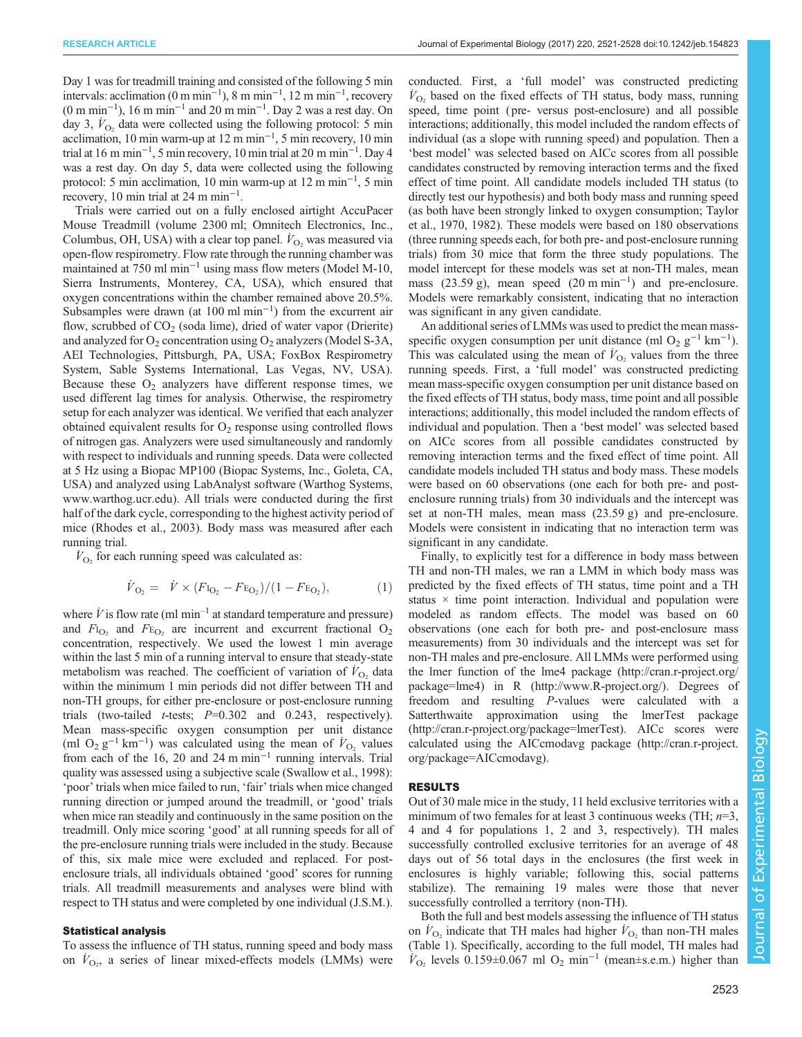Day 1 was for treadmill training and consisted of the following 5 min intervals: acclimation (0 m min−<sup>1</sup> ), 8 m min−<sup>1</sup> , 12 m min−<sup>1</sup> , recovery  $(0 \text{ m min}^{-1})$ , 16 m min<sup>-1</sup> and 20 m min<sup>-1</sup>. Day 2 was a rest day. On day 3,  $\dot{V}_{\text{O}_2}$  data were collected using the following protocol: 5 min acclimation, 10 min warm-up at 12 m min−<sup>1</sup> , 5 min recovery, 10 min trial at 16 m min−<sup>1</sup> , 5 min recovery, 10 min trial at 20 m min−<sup>1</sup> . Day 4 was a rest day. On day 5, data were collected using the following protocol: 5 min acclimation, 10 min warm-up at 12 m min−<sup>1</sup> , 5 min recovery, 10 min trial at 24 m min−<sup>1</sup> .

Trials were carried out on a fully enclosed airtight AccuPacer Mouse Treadmill (volume 2300 ml; Omnitech Electronics, Inc., Columbus, OH, USA) with a clear top panel.  $\dot{V}_{\text{O}_2}$  was measured via open-flow respirometry. Flow rate through the running chamber was maintained at 750 ml min−<sup>1</sup> using mass flow meters (Model M-10, Sierra Instruments, Monterey, CA, USA), which ensured that oxygen concentrations within the chamber remained above 20.5%. Subsamples were drawn (at 100 ml min−<sup>1</sup> ) from the excurrent air flow, scrubbed of  $CO<sub>2</sub>$  (soda lime), dried of water vapor (Drierite) and analyzed for  $O_2$  concentration using  $O_2$  analyzers (Model S-3A, AEI Technologies, Pittsburgh, PA, USA; FoxBox Respirometry System, Sable Systems International, Las Vegas, NV, USA). Because these  $O_2$  analyzers have different response times, we used different lag times for analysis. Otherwise, the respirometry setup for each analyzer was identical. We verified that each analyzer obtained equivalent results for  $O_2$  response using controlled flows of nitrogen gas. Analyzers were used simultaneously and randomly with respect to individuals and running speeds. Data were collected at 5 Hz using a Biopac MP100 (Biopac Systems, Inc., Goleta, CA, USA) and analyzed using LabAnalyst software (Warthog Systems, [www.warthog.ucr.edu\)](http://www.warthog.ucr.edu). All trials were conducted during the first half of the dark cycle, corresponding to the highest activity period of mice ([Rhodes et al., 2003](#page-7-0)). Body mass was measured after each running trial.

 $\dot{V}_{\text{O}_2}$  for each running speed was calculated as:

$$
\dot{V}_{\text{O}_2} = \dot{V} \times (F_{\text{I}_{\text{O}_2}} - F_{\text{E}_{\text{O}_2}})/(1 - F_{\text{E}_{\text{O}_2}}),\tag{1}
$$

where  $\dot{V}$  is flow rate (ml min<sup>-1</sup> at standard temperature and pressure) and  $F_{\text{IO}_2}$  and  $F_{\text{EO}_2}$  are incurrent and excurrent fractional O<sub>2</sub> concentration, respectively. We used the lowest 1 min average within the last 5 min of a running interval to ensure that steady-state metabolism was reached. The coefficient of variation of  $\dot{V}_{\text{O}_2}$  data within the minimum 1 min periods did not differ between TH and non-TH groups, for either pre-enclosure or post-enclosure running trials (two-tailed *t*-tests;  $P=0.302$  and 0.243, respectively). Mean mass-specific oxygen consumption per unit distance (ml O<sub>2</sub> g<sup>-1</sup> km<sup>-1</sup>) was calculated using the mean of  $\dot{V}_{\text{O}_2}$  values from each of the 16, 20 and 24 m min−<sup>1</sup> running intervals. Trial quality was assessed using a subjective scale ([Swallow et al., 1998](#page-7-0)): 'poor' trials when mice failed to run, 'fair' trials when mice changed running direction or jumped around the treadmill, or 'good' trials when mice ran steadily and continuously in the same position on the treadmill. Only mice scoring 'good' at all running speeds for all of the pre-enclosure running trials were included in the study. Because of this, six male mice were excluded and replaced. For postenclosure trials, all individuals obtained 'good' scores for running trials. All treadmill measurements and analyses were blind with respect to TH status and were completed by one individual (J.S.M.).

## Statistical analysis

To assess the influence of TH status, running speed and body mass on  $V_{\text{O}_2}$ , a series of linear mixed-effects models (LMMs) were

conducted. First, a 'full model' was constructed predicting  $\dot{V}_{\text{O}_2}$  based on the fixed effects of TH status, body mass, running speed, time point ( pre- versus post-enclosure) and all possible interactions; additionally, this model included the random effects of individual (as a slope with running speed) and population. Then a 'best model' was selected based on AICc scores from all possible candidates constructed by removing interaction terms and the fixed effect of time point. All candidate models included TH status (to directly test our hypothesis) and both body mass and running speed (as both have been strongly linked to oxygen consumption; [Taylor](#page-7-0) [et al., 1970, 1982\)](#page-7-0). These models were based on 180 observations (three running speeds each, for both pre- and post-enclosure running trials) from 30 mice that form the three study populations. The model intercept for these models was set at non-TH males, mean mass  $(23.59 \text{ g})$ , mean speed  $(20 \text{ m min}^{-1})$  and pre-enclosure. Models were remarkably consistent, indicating that no interaction was significant in any given candidate.

An additional series of LMMs was used to predict the mean massspecific oxygen consumption per unit distance (ml O<sub>2</sub> g<sup>-1</sup> km<sup>-1</sup>). This was calculated using the mean of  $V_{\text{O}_2}$  values from the three running speeds. First, a 'full model' was constructed predicting mean mass-specific oxygen consumption per unit distance based on the fixed effects of TH status, body mass, time point and all possible interactions; additionally, this model included the random effects of individual and population. Then a 'best model' was selected based on AICc scores from all possible candidates constructed by removing interaction terms and the fixed effect of time point. All candidate models included TH status and body mass. These models were based on 60 observations (one each for both pre- and postenclosure running trials) from 30 individuals and the intercept was set at non-TH males, mean mass (23.59 g) and pre-enclosure. Models were consistent in indicating that no interaction term was significant in any candidate.

Finally, to explicitly test for a difference in body mass between TH and non-TH males, we ran a LMM in which body mass was predicted by the fixed effects of TH status, time point and a TH status  $\times$  time point interaction. Individual and population were modeled as random effects. The model was based on 60 observations (one each for both pre- and post-enclosure mass measurements) from 30 individuals and the intercept was set for non-TH males and pre-enclosure. All LMMs were performed using the lmer function of the lme4 package ([http://cran.r-project.org/](http://cran.r-project.org/package=lme4) [package=lme4\)](http://cran.r-project.org/package=lme4) in R ([http://www.R-project.org/\)](http://www.R-project.org/). Degrees of freedom and resulting P-values were calculated with a Satterthwaite approximation using the lmerTest package [\(http://cran.r-project.org/package=lmerTest](http://cran.r-project.org/package=lmerTest)). AICc scores were calculated using the AICcmodavg package ([http://cran.r-project.](http://cran.r-project.org/package=AICcmodavg) [org/package=AICcmodavg\)](http://cran.r-project.org/package=AICcmodavg).

## RESULTS

Out of 30 male mice in the study, 11 held exclusive territories with a minimum of two females for at least 3 continuous weeks (TH;  $n=3$ , 4 and 4 for populations 1, 2 and 3, respectively). TH males successfully controlled exclusive territories for an average of 48 days out of 56 total days in the enclosures (the first week in enclosures is highly variable; following this, social patterns stabilize). The remaining 19 males were those that never successfully controlled a territory (non-TH).

Both the full and best models assessing the influence of TH status on  $\dot{V}_{\text{O}_2}$  indicate that TH males had higher  $\dot{V}_{\text{O}_2}$  than non-TH males [\(Table 1\)](#page-3-0). Specifically, according to the full model, TH males had  $\dot{V}_{\text{O}_2}$  levels 0.159±0.067 ml O<sub>2</sub> min<sup>-1</sup> (mean±s.e.m.) higher than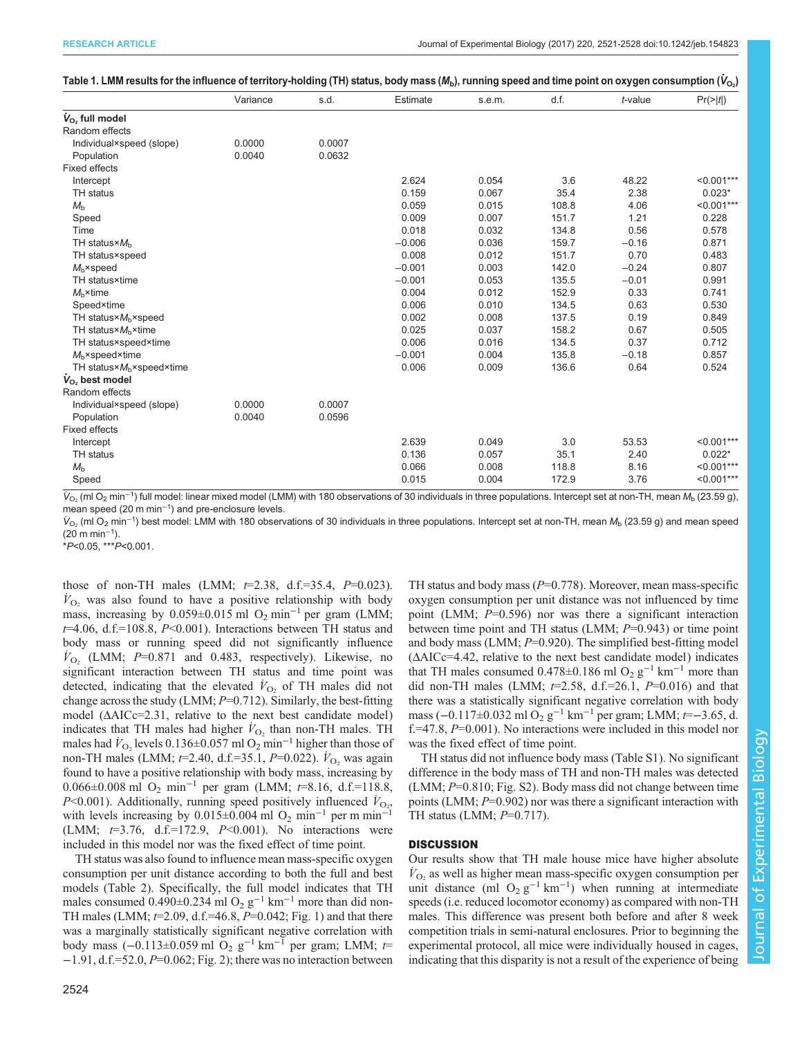# <span id="page-3-0"></span>Table 1. LMM results for the influence of territory-holding (TH) status, body mass ( $M_{\rm b}$ ), running speed and time point on oxygen consumption ( $\dot{\cal V}_{\rm O_2}$ )

|                                                   | Variance | s.d.   | Estimate | s.e.m. | d.f.  | $t$ -value | $Pr(>\vert t \vert)$ |
|---------------------------------------------------|----------|--------|----------|--------|-------|------------|----------------------|
| $V_{O_2}$ full model                              |          |        |          |        |       |            |                      |
| Random effects                                    |          |        |          |        |       |            |                      |
| Individual×speed (slope)                          | 0.0000   | 0.0007 |          |        |       |            |                      |
| Population                                        | 0.0040   | 0.0632 |          |        |       |            |                      |
| <b>Fixed effects</b>                              |          |        |          |        |       |            |                      |
| Intercept                                         |          |        | 2.624    | 0.054  | 3.6   | 48.22      | $< 0.001***$         |
| TH status                                         |          |        | 0.159    | 0.067  | 35.4  | 2.38       | $0.023*$             |
| $M_{\rm b}$                                       |          |        | 0.059    | 0.015  | 108.8 | 4.06       | $< 0.001***$         |
| Speed                                             |          |        | 0.009    | 0.007  | 151.7 | 1.21       | 0.228                |
| Time                                              |          |        | 0.018    | 0.032  | 134.8 | 0.56       | 0.578                |
| TH status $\times M_h$                            |          |        | $-0.006$ | 0.036  | 159.7 | $-0.16$    | 0.871                |
| TH status×speed                                   |          |        | 0.008    | 0.012  | 151.7 | 0.70       | 0.483                |
| $M_h \times$ speed                                |          |        | $-0.001$ | 0.003  | 142.0 | $-0.24$    | 0.807                |
| TH status×time                                    |          |        | $-0.001$ | 0.053  | 135.5 | $-0.01$    | 0.991                |
| $M_h \times$ time                                 |          |        | 0.004    | 0.012  | 152.9 | 0.33       | 0.741                |
| Speed×time                                        |          |        | 0.006    | 0.010  | 134.5 | 0.63       | 0.530                |
| TH status×M <sub>b</sub> ×speed                   |          |        | 0.002    | 0.008  | 137.5 | 0.19       | 0.849                |
| TH status $\times M_h \times$ time                |          |        | 0.025    | 0.037  | 158.2 | 0.67       | 0.505                |
| TH status×speed×time                              |          |        | 0.006    | 0.016  | 134.5 | 0.37       | 0.712                |
| $Mb$ ×speed×time                                  |          |        | $-0.001$ | 0.004  | 135.8 | $-0.18$    | 0.857                |
| TH status $\times M_h \times$ speed $\times$ time |          |        | 0.006    | 0.009  | 136.6 | 0.64       | 0.524                |
| $V_{O_2}$ best model                              |          |        |          |        |       |            |                      |
| Random effects                                    |          |        |          |        |       |            |                      |
| Individual×speed (slope)                          | 0.0000   | 0.0007 |          |        |       |            |                      |
| Population                                        | 0.0040   | 0.0596 |          |        |       |            |                      |
| <b>Fixed effects</b>                              |          |        |          |        |       |            |                      |
| Intercept                                         |          |        | 2.639    | 0.049  | 3.0   | 53.53      | $< 0.001***$         |
| TH status                                         |          |        | 0.136    | 0.057  | 35.1  | 2.40       | $0.022*$             |
| M <sub>b</sub>                                    |          |        | 0.066    | 0.008  | 118.8 | 8.16       | $< 0.001***$         |
| Speed                                             |          |        | 0.015    | 0.004  | 172.9 | 3.76       | $< 0.001***$         |
|                                                   |          |        |          |        |       |            |                      |

 $\dot{V}_\text{O_2}$  (ml O<sub>2</sub> min<sup>−1</sup>) full model: linear mixed model (LMM) with 180 observations of 30 individuals in three populations. Intercept set at non-TH, mean  $M_\text{b}$  (23.59 g), mean speed (20 m min<sup>-1</sup>) and pre-enclosure levels.

 $\dot{V}_{\rm O_2}$  (ml O<sub>2</sub> min<sup>-1</sup>) best model: LMM with 180 observations of 30 individuals in three populations. Intercept set at non-TH, mean  $M_{\rm b}$  (23.59 g) and mean speed (20 m min−<sup>1</sup> ).

\*P<0.05, \*\*\*P<0.001.

those of non-TH males (LMM;  $t=2.38$ , d.f.=35.4,  $P=0.023$ ).  $\dot{V}_{\text{O}_2}$  was also found to have a positive relationship with body mass, increasing by  $0.059\pm0.015$  ml O<sub>2</sub> min<sup>-1</sup> per gram (LMM;  $t=4.06$ , d.f.=108.8, P<0.001). Interactions between TH status and body mass or running speed did not significantly influence  $V_{\text{O}_2}$  (LMM; P=0.871 and 0.483, respectively). Likewise, no significant interaction between TH status and time point was detected, indicating that the elevated  $\dot{V}_{\text{O}_2}$  of TH males did not change across the study (LMM;  $P=0.712$ ). Similarly, the best-fitting model (ΔAICc=2.31, relative to the next best candidate model) indicates that TH males had higher  $\dot{V}_{\text{O}_2}$  than non-TH males. TH males had  $\dot{V}_{\text{O}_2}$  levels 0.136±0.057 ml  $\text{O}_2$  min<sup>-1</sup> higher than those of non-TH males (LMM;  $t=2.40$ , d.f.=35.1,  $P=0.022$ ).  $\dot{V}_{\text{O}_2}$  was again found to have a positive relationship with body mass, increasing by 0.066±0.008 ml O2 min−<sup>1</sup> per gram (LMM; t=8.16, d.f.=118.8, P<0.001). Additionally, running speed positively influenced  $V_{\text{O}_2}$ , with levels increasing by  $0.015\pm0.004$  ml O<sub>2</sub> min<sup>-1</sup> per m min<sup>-1</sup> (LMM;  $t=3.76$ , d.f.=172.9,  $P<0.001$ ). No interactions were included in this model nor was the fixed effect of time point.

TH status was also found to influence mean mass-specific oxygen consumption per unit distance according to both the full and best models [\(Table 2](#page-4-0)). Specifically, the full model indicates that TH males consumed 0.490±0.234 ml O<sub>2</sub> g<sup>-1</sup> km<sup>-1</sup> more than did non-TH males (LMM;  $t=2.09$ , d.f.=46.8,  $P=0.042$ ; [Fig. 1](#page-4-0)) and that there was a marginally statistically significant negative correlation with body mass (−0.113±0.059 ml O<sub>2</sub> g<sup>-1</sup> km<sup>-1</sup> per gram; LMM; t=  $-1.91$ , d.f.=52.0,  $P=0.062$ ; [Fig. 2](#page-5-0)); there was no interaction between

TH status and body mass  $(P=0.778)$ . Moreover, mean mass-specific oxygen consumption per unit distance was not influenced by time point (LMM;  $P=0.596$ ) nor was there a significant interaction between time point and TH status (LMM;  $P=0.943$ ) or time point and body mass (LMM;  $P=0.920$ ). The simplified best-fitting model (ΔAICc=4.42, relative to the next best candidate model) indicates that TH males consumed 0.478±0.186 ml O<sub>2</sub> g<sup>-1</sup> km<sup>-1</sup> more than did non-TH males (LMM;  $t=2.58$ , d.f.=26.1, P=0.016) and that there was a statistically significant negative correlation with body mass (−0.117±0.032 ml O<sub>2</sub> g<sup>-1</sup> km<sup>-1</sup> per gram; LMM;  $t=$ −3.65, d. f.=47.8,  $P=0.001$ ). No interactions were included in this model nor was the fixed effect of time point.

TH status did not influence body mass ([Table S1](http://jeb.biologists.org/lookup/doi/10.1242/jeb.154823.supplemental)). No significant difference in the body mass of TH and non-TH males was detected (LMM; P=0.810; [Fig. S2](http://jeb.biologists.org/lookup/doi/10.1242/jeb.154823.supplemental)). Body mass did not change between time points (LMM;  $P=0.902$ ) nor was there a significant interaction with TH status (LMM;  $P=0.717$ ).

# **DISCUSSION**

Our results show that TH male house mice have higher absolute  $V_{\text{O}_2}$  as well as higher mean mass-specific oxygen consumption per unit distance (ml O<sub>2</sub> g<sup>-1</sup> km<sup>-1</sup>) when running at intermediate speeds (i.e. reduced locomotor economy) as compared with non-TH males. This difference was present both before and after 8 week competition trials in semi-natural enclosures. Prior to beginning the experimental protocol, all mice were individually housed in cages, indicating that this disparity is not a result of the experience of being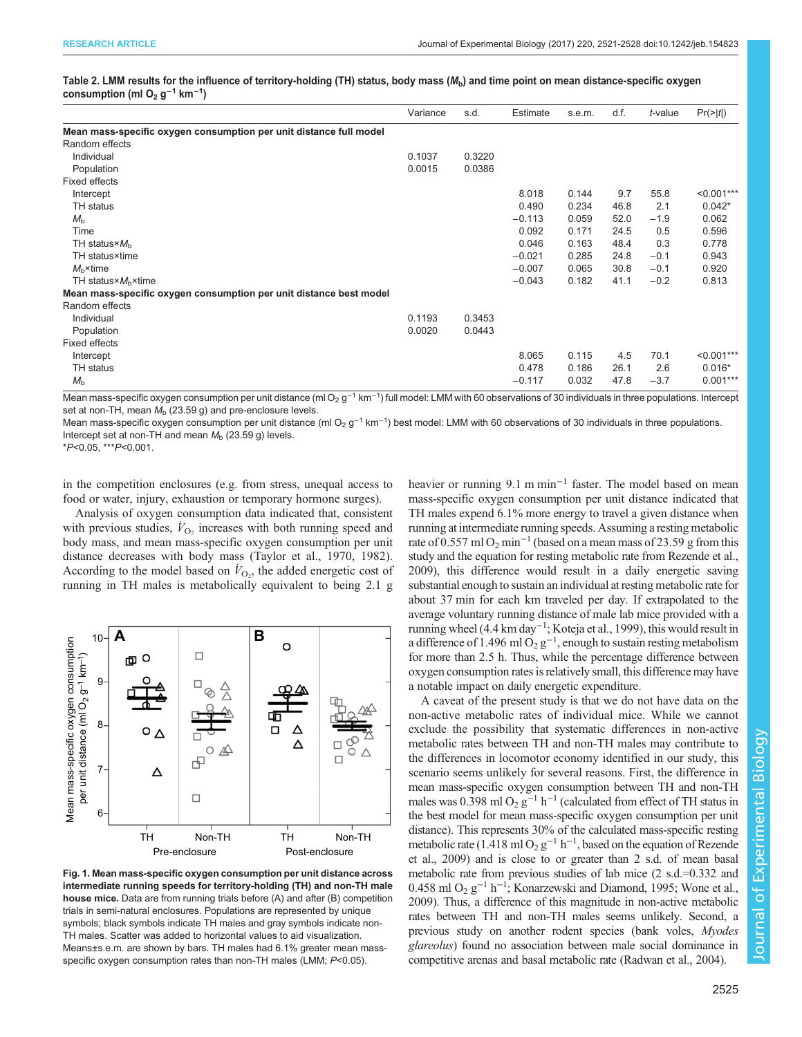|                                                                    | Variance | s.d.   | Estimate | s.e.m. | d.f. | t-value | $Pr(>\vert t \vert)$ |
|--------------------------------------------------------------------|----------|--------|----------|--------|------|---------|----------------------|
| Mean mass-specific oxygen consumption per unit distance full model |          |        |          |        |      |         |                      |
| Random effects                                                     |          |        |          |        |      |         |                      |
| Individual                                                         | 0.1037   | 0.3220 |          |        |      |         |                      |
| Population                                                         | 0.0015   | 0.0386 |          |        |      |         |                      |
| <b>Fixed effects</b>                                               |          |        |          |        |      |         |                      |
| Intercept                                                          |          |        | 8.018    | 0.144  | 9.7  | 55.8    | $< 0.001***$         |
| TH status                                                          |          |        | 0.490    | 0.234  | 46.8 | 2.1     | $0.042*$             |
| $M_{\rm b}$                                                        |          |        | $-0.113$ | 0.059  | 52.0 | $-1.9$  | 0.062                |
| Time                                                               |          |        | 0.092    | 0.171  | 24.5 | 0.5     | 0.596                |
| TH status $\times M_h$                                             |          |        | 0.046    | 0.163  | 48.4 | 0.3     | 0.778                |
| TH status×time                                                     |          |        | $-0.021$ | 0.285  | 24.8 | $-0.1$  | 0.943                |
| $M_h \times$ time                                                  |          |        | $-0.007$ | 0.065  | 30.8 | $-0.1$  | 0.920                |
| TH status $\times M_h \times$ time                                 |          |        | $-0.043$ | 0.182  | 41.1 | $-0.2$  | 0.813                |
| Mean mass-specific oxygen consumption per unit distance best model |          |        |          |        |      |         |                      |
| Random effects                                                     |          |        |          |        |      |         |                      |
| Individual                                                         | 0.1193   | 0.3453 |          |        |      |         |                      |
| Population                                                         | 0.0020   | 0.0443 |          |        |      |         |                      |
| <b>Fixed effects</b>                                               |          |        |          |        |      |         |                      |
| Intercept                                                          |          |        | 8.065    | 0.115  | 4.5  | 70.1    | $< 0.001***$         |
| TH status                                                          |          |        | 0.478    | 0.186  | 26.1 | 2.6     | $0.016*$             |
| M <sub>b</sub>                                                     |          |        | $-0.117$ | 0.032  | 47.8 | $-3.7$  | $0.001***$           |

<span id="page-4-0"></span>

| Table 2. LMM results for the influence of territory-holding (TH) status, body mass $(Mb)$ and time point on mean distance-specific oxygen |  |  |
|-------------------------------------------------------------------------------------------------------------------------------------------|--|--|
| consumption (ml $O_2$ g <sup>-1</sup> km <sup>-1</sup> )                                                                                  |  |  |

Mean mass-specific oxygen consumption per unit distance (ml O<sub>2</sub> g<sup>−1</sup> km<sup>−1</sup>) full model: LMM with 60 observations of 30 individuals in three populations. Intercept set at non-TH, mean  $M_b$  (23.59 g) and pre-enclosure levels.

Mean mass-specific oxygen consumption per unit distance (ml O<sub>2</sub> g<sup>−1</sup> km<sup>−1</sup>) best model: LMM with 60 observations of 30 individuals in three populations. Intercept set at non-TH and mean  $M<sub>b</sub>$  (23.59 g) levels.

\*P<0.05, \*\*\*P<0.001.

in the competition enclosures (e.g. from stress, unequal access to food or water, injury, exhaustion or temporary hormone surges).

Analysis of oxygen consumption data indicated that, consistent with previous studies,  $\dot{V}_{\text{O}_2}$  increases with both running speed and body mass, and mean mass-specific oxygen consumption per unit distance decreases with body mass ([Taylor et al., 1970, 1982\)](#page-7-0). According to the model based on  $V_{\text{O}_2}$ , the added energetic cost of running in TH males is metabolically equivalent to being 2.1 g



Fig. 1. Mean mass-specific oxygen consumption per unit distance across intermediate running speeds for territory-holding (TH) and non-TH male house mice. Data are from running trials before (A) and after (B) competition trials in semi-natural enclosures. Populations are represented by unique symbols; black symbols indicate TH males and gray symbols indicate non-TH males. Scatter was added to horizontal values to aid visualization. Means±s.e.m. are shown by bars. TH males had 6.1% greater mean massspecific oxygen consumption rates than non-TH males (LMM;  $P<0.05$ ).

heavier or running 9.1 m min−<sup>1</sup> faster. The model based on mean mass-specific oxygen consumption per unit distance indicated that TH males expend 6.1% more energy to travel a given distance when running at intermediate running speeds. Assuming a resting metabolic rate of 0.557 ml O<sub>2</sub> min<sup>-1</sup> (based on a mean mass of 23.59 g from this study and the equation for resting metabolic rate from [Rezende et al.,](#page-7-0) [2009\)](#page-7-0), this difference would result in a daily energetic saving substantial enough to sustain an individual at resting metabolic rate for about 37 min for each km traveled per day. If extrapolated to the average voluntary running distance of male lab mice provided with a running wheel (4.4 km day−<sup>1</sup> ; [Koteja et al., 1999](#page-6-0)), this would result in a difference of 1.496 ml  $O_2 g^{-1}$ , enough to sustain resting metabolism for more than 2.5 h. Thus, while the percentage difference between oxygen consumption rates is relatively small, this difference may have a notable impact on daily energetic expenditure.

A caveat of the present study is that we do not have data on the non-active metabolic rates of individual mice. While we cannot exclude the possibility that systematic differences in non-active metabolic rates between TH and non-TH males may contribute to the differences in locomotor economy identified in our study, this scenario seems unlikely for several reasons. First, the difference in mean mass-specific oxygen consumption between TH and non-TH males was 0.398 ml O<sub>2</sub> g<sup>-1</sup> h<sup>-1</sup> (calculated from effect of TH status in the best model for mean mass-specific oxygen consumption per unit distance). This represents 30% of the calculated mass-specific resting metabolic rate (1.418 ml O<sub>2</sub> g<sup>-1</sup> h<sup>-1</sup>, based on the equation of [Rezende](#page-7-0) [et al., 2009\)](#page-7-0) and is close to or greater than 2 s.d. of mean basal metabolic rate from previous studies of lab mice (2 s.d.=0.332 and 0.458 ml O<sub>2</sub> g<sup>-1</sup> h<sup>-1</sup>; [Konarzewski and Diamond, 1995](#page-6-0); [Wone et al.,](#page-7-0) [2009](#page-7-0)). Thus, a difference of this magnitude in non-active metabolic rates between TH and non-TH males seems unlikely. Second, a previous study on another rodent species (bank voles, Myodes glareolus) found no association between male social dominance in competitive arenas and basal metabolic rate [\(Radwan et al., 2004\)](#page-7-0).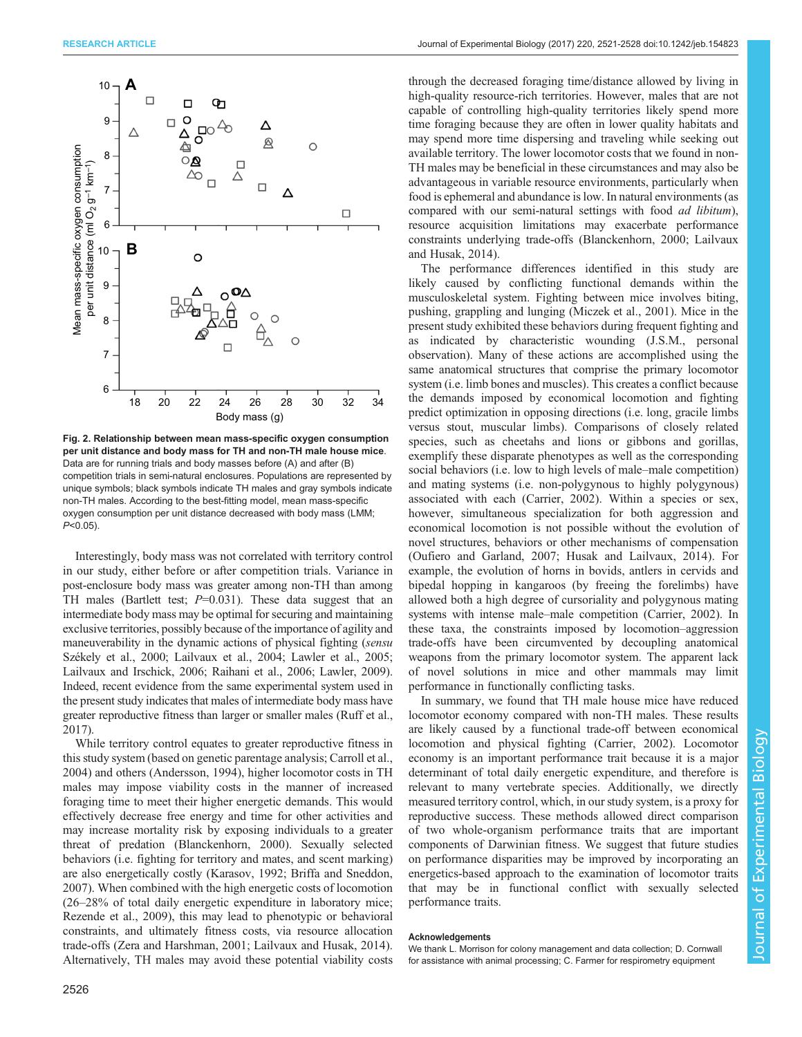<span id="page-5-0"></span>

Fig. 2. Relationship between mean mass-specific oxygen consumption per unit distance and body mass for TH and non-TH male house mice. Data are for running trials and body masses before (A) and after (B) competition trials in semi-natural enclosures. Populations are represented by unique symbols; black symbols indicate TH males and gray symbols indicate non-TH males. According to the best-fitting model, mean mass-specific oxygen consumption per unit distance decreased with body mass (LMM; P<0.05).

Interestingly, body mass was not correlated with territory control in our study, either before or after competition trials. Variance in post-enclosure body mass was greater among non-TH than among TH males (Bartlett test;  $P=0.031$ ). These data suggest that an intermediate body mass may be optimal for securing and maintaining exclusive territories, possibly because of the importance of agility and maneuverability in the dynamic actions of physical fighting (sensu [Székely et al., 2000](#page-7-0); [Lailvaux et al., 2004](#page-6-0); [Lawler et al., 2005](#page-6-0); [Lailvaux and Irschick, 2006;](#page-6-0) [Raihani et al., 2006;](#page-7-0) [Lawler, 2009\)](#page-6-0). Indeed, recent evidence from the same experimental system used in the present study indicates that males of intermediate body mass have greater reproductive fitness than larger or smaller males [\(Ruff et al.,](#page-7-0) [2017\)](#page-7-0).

While territory control equates to greater reproductive fitness in this study system (based on genetic parentage analysis; [Carroll et al.,](#page-6-0) [2004](#page-6-0)) and others [\(Andersson, 1994](#page-6-0)), higher locomotor costs in TH males may impose viability costs in the manner of increased foraging time to meet their higher energetic demands. This would effectively decrease free energy and time for other activities and may increase mortality risk by exposing individuals to a greater threat of predation [\(Blanckenhorn, 2000\)](#page-6-0). Sexually selected behaviors (i.e. fighting for territory and mates, and scent marking) are also energetically costly ([Karasov, 1992](#page-6-0); [Briffa and Sneddon,](#page-6-0) [2007](#page-6-0)). When combined with the high energetic costs of locomotion (26–28% of total daily energetic expenditure in laboratory mice; [Rezende et al., 2009](#page-7-0)), this may lead to phenotypic or behavioral constraints, and ultimately fitness costs, via resource allocation trade-offs ([Zera and Harshman, 2001;](#page-7-0) [Lailvaux and Husak, 2014\)](#page-6-0). Alternatively, TH males may avoid these potential viability costs through the decreased foraging time/distance allowed by living in high-quality resource-rich territories. However, males that are not capable of controlling high-quality territories likely spend more time foraging because they are often in lower quality habitats and may spend more time dispersing and traveling while seeking out available territory. The lower locomotor costs that we found in non-TH males may be beneficial in these circumstances and may also be advantageous in variable resource environments, particularly when food is ephemeral and abundance is low. In natural environments (as compared with our semi-natural settings with food *ad libitum*), resource acquisition limitations may exacerbate performance constraints underlying trade-offs [\(Blanckenhorn, 2000; Lailvaux](#page-6-0) [and Husak, 2014\)](#page-6-0).

The performance differences identified in this study are likely caused by conflicting functional demands within the musculoskeletal system. Fighting between mice involves biting, pushing, grappling and lunging ([Miczek et al., 2001\)](#page-6-0). Mice in the present study exhibited these behaviors during frequent fighting and as indicated by characteristic wounding (J.S.M., personal observation). Many of these actions are accomplished using the same anatomical structures that comprise the primary locomotor system (i.e. limb bones and muscles). This creates a conflict because the demands imposed by economical locomotion and fighting predict optimization in opposing directions (i.e. long, gracile limbs versus stout, muscular limbs). Comparisons of closely related species, such as cheetahs and lions or gibbons and gorillas, exemplify these disparate phenotypes as well as the corresponding social behaviors (i.e. low to high levels of male–male competition) and mating systems (i.e. non-polygynous to highly polygynous) associated with each ([Carrier, 2002\)](#page-6-0). Within a species or sex, however, simultaneous specialization for both aggression and economical locomotion is not possible without the evolution of novel structures, behaviors or other mechanisms of compensation [\(Oufiero and Garland, 2007;](#page-7-0) [Husak and Lailvaux, 2014\)](#page-6-0). For example, the evolution of horns in bovids, antlers in cervids and bipedal hopping in kangaroos (by freeing the forelimbs) have allowed both a high degree of cursoriality and polygynous mating systems with intense male–male competition ([Carrier, 2002\)](#page-6-0). In these taxa, the constraints imposed by locomotion–aggression trade-offs have been circumvented by decoupling anatomical weapons from the primary locomotor system. The apparent lack of novel solutions in mice and other mammals may limit performance in functionally conflicting tasks.

In summary, we found that TH male house mice have reduced locomotor economy compared with non-TH males. These results are likely caused by a functional trade-off between economical locomotion and physical fighting ([Carrier, 2002\)](#page-6-0). Locomotor economy is an important performance trait because it is a major determinant of total daily energetic expenditure, and therefore is relevant to many vertebrate species. Additionally, we directly measured territory control, which, in our study system, is a proxy for reproductive success. These methods allowed direct comparison of two whole-organism performance traits that are important components of Darwinian fitness. We suggest that future studies on performance disparities may be improved by incorporating an energetics-based approach to the examination of locomotor traits that may be in functional conflict with sexually selected performance traits.

## Acknowledgements

We thank L. Morrison for colony management and data collection; D. Cornwall for assistance with animal processing; C. Farmer for respirometry equipment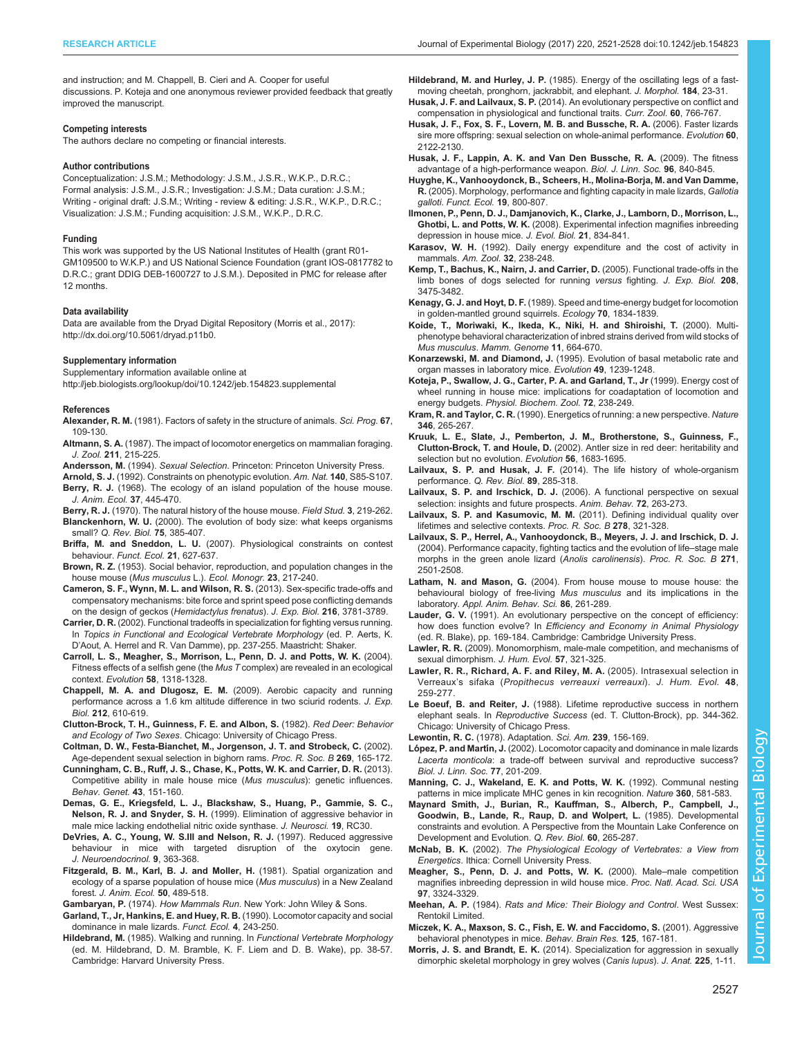<span id="page-6-0"></span>and instruction; and M. Chappell, B. Cieri and A. Cooper for useful discussions. P. Koteja and one anonymous reviewer provided feedback that greatly improved the manuscript.

### Competing interests

The authors declare no competing or financial interests.

#### Author contributions

Conceptualization: J.S.M.; Methodology: J.S.M., J.S.R., W.K.P., D.R.C.; Formal analysis: J.S.M., J.S.R.; Investigation: J.S.M.; Data curation: J.S.M.; Writing - original draft: J.S.M.; Writing - review & editing: J.S.R., W.K.P., D.R.C.; Visualization: J.S.M.; Funding acquisition: J.S.M., W.K.P., D.R.C.

#### Funding

This work was supported by the US National Institutes of Health (grant R01- GM109500 to W.K.P.) and US National Science Foundation (grant IOS-0817782 to D.R.C.; grant DDIG DEB-1600727 to J.S.M.). Deposited in PMC for release after 12 months.

#### Data availability

Data are available from the Dryad Digital Repository ([Morris et al., 2017](#page-7-0)): <http://dx.doi.org/10.5061/dryad.p11b0>.

#### Supplementary information

Supplementary information available online at <http://jeb.biologists.org/lookup/doi/10.1242/jeb.154823.supplemental>

#### References

- Alexander, R. M. (1981). Factors of safety in the structure of animals. Sci. Prog. 67, 109-130.
- Altmann, S. A. [\(1987\). The impact of locomotor energetics on mammalian foraging.](http://dx.doi.org/10.1111/j.1469-7998.1987.tb01530.x) J. Zool. 211[, 215-225.](http://dx.doi.org/10.1111/j.1469-7998.1987.tb01530.x)
- Andersson, M. (1994). Sexual Selection. Princeton: Princeton University Press.
- Arnold, S. J. [\(1992\). Constraints on phenotypic evolution.](http://dx.doi.org/10.1086/285398) Am. Nat. 140, S85-S107. Berry, R. J. [\(1968\). The ecology of an island population of the house mouse.](http://dx.doi.org/10.2307/2959)
- [J. Anim. Ecol.](http://dx.doi.org/10.2307/2959) 37, 445-470. Berry, R. J. (1970). The natural history of the house mouse. Field Stud. 3, 219-262. Blanckenhorn, W. U. [\(2000\). The evolution of body size: what keeps organisms](http://dx.doi.org/10.1086/393620)
- small? [Q. Rev. Biol.](http://dx.doi.org/10.1086/393620) **75**, 385-407. Briffa, M. and Sneddon, L. U. [\(2007\). Physiological constraints on contest](http://dx.doi.org/10.1111/j.1365-2435.2006.01188.x)
- behaviour. [Funct. Ecol.](http://dx.doi.org/10.1111/j.1365-2435.2006.01188.x) 21, 627-637.
- Brown, R. Z. [\(1953\). Social behavior, reproduction, and population changes in the](http://dx.doi.org/10.2307/1943592) [house mouse \(](http://dx.doi.org/10.2307/1943592)Mus musculus L.). Ecol. Monogr. 23, 217-240.
- [Cameron, S. F., Wynn, M. L. and Wilson, R. S.](http://dx.doi.org/10.1242/jeb.083063) (2013). Sex-specific trade-offs and [compensatory mechanisms: bite force and sprint speed pose conflicting demands](http://dx.doi.org/10.1242/jeb.083063) [on the design of geckos \(](http://dx.doi.org/10.1242/jeb.083063)Hemidactylus frenatus). J. Exp. Biol. 216, 3781-3789.
- Carrier, D. R. (2002). Functional tradeoffs in specialization for fighting versus running. In Topics in Functional and Ecological Vertebrate Morphology (ed. P. Aerts, K. D'Aout, A. Herrel and R. Van Damme), pp. 237-255. Maastricht: Shaker.
- [Carroll, L. S., Meagher, S., Morrison, L., Penn, D. J. and Potts, W. K.](http://dx.doi.org/10.1111/j.0014-3820.2004.tb01710.x) (2004). Fitness effects of a selfish gene (the  $Mus$  T [complex\) are revealed in an ecological](http://dx.doi.org/10.1111/j.0014-3820.2004.tb01710.x) context. Evolution 58[, 1318-1328.](http://dx.doi.org/10.1111/j.0014-3820.2004.tb01710.x)
- [Chappell, M. A. and Dlugosz, E. M.](http://dx.doi.org/10.1242/jeb.025775) (2009). Aerobic capacity and running [performance across a 1.6 km altitude difference in two sciurid rodents.](http://dx.doi.org/10.1242/jeb.025775) J. Exp. Biol. 212[, 610-619.](http://dx.doi.org/10.1242/jeb.025775)
- Clutton-Brock, T. H., Guinness, F. E. and Albon, S. (1982). Red Deer: Behavior and Ecology of Two Sexes. Chicago: University of Chicago Press.
- [Coltman, D. W., Festa-Bianchet, M., Jorgenson, J. T. and Strobeck, C.](http://dx.doi.org/10.1098/rspb.2001.1851) (2002). [Age-dependent sexual selection in bighorn rams.](http://dx.doi.org/10.1098/rspb.2001.1851) Proc. R. Soc. B 269, 165-172.
- [Cunningham, C. B., Ruff, J. S., Chase, K., Potts, W. K. and Carrier, D. R.](http://dx.doi.org/10.1007/s10519-012-9577-3) (2013). [Competitive ability in male house mice \(](http://dx.doi.org/10.1007/s10519-012-9577-3)Mus musculus): genetic influences. [Behav. Genet.](http://dx.doi.org/10.1007/s10519-012-9577-3) 43, 151-160.
- Demas, G. E., Kriegsfeld, L. J., Blackshaw, S., Huang, P., Gammie, S. C., Nelson, R. J. and Snyder, S. H. (1999). Elimination of aggressive behavior in male mice lacking endothelial nitric oxide synthase. J. Neurosci. 19, RC30.
- [DeVries, A. C., Young, W. S.III and Nelson, R. J.](http://dx.doi.org/10.1046/j.1365-2826.1997.t01-1-00589.x) (1997). Reduced aggressive [behaviour in mice with targeted disruption of the oxytocin gene.](http://dx.doi.org/10.1046/j.1365-2826.1997.t01-1-00589.x) [J. Neuroendocrinol.](http://dx.doi.org/10.1046/j.1365-2826.1997.t01-1-00589.x) 9, 363-368.
- [Fitzgerald, B. M., Karl, B. J. and Moller, H.](http://dx.doi.org/10.2307/4070) (1981). Spatial organization and [ecology of a sparse population of house mice \(](http://dx.doi.org/10.2307/4070)Mus musculus) in a New Zealand forest. [J. Anim. Ecol.](http://dx.doi.org/10.2307/4070) 50, 489-518.
- Gambaryan, P. (1974). How Mammals Run. New York: John Wiley & Sons.
- [Garland, T., Jr, Hankins, E. and Huey, R. B.](http://dx.doi.org/10.2307/2389343) (1990). Locomotor capacity and social [dominance in male lizards.](http://dx.doi.org/10.2307/2389343) Funct. Ecol. 4, 243-250.
- Hildebrand, M. (1985). Walking and running. In Functional Vertebrate Morphology (ed. M. Hildebrand, D. M. Bramble, K. F. Liem and D. B. Wake), pp. 38-57. Cambridge: Harvard University Press.

Hildebrand, M. and Hurley, J. P. [\(1985\). Energy of the oscillating legs of a fast](http://dx.doi.org/10.1002/jmor.1051840103)[moving cheetah, pronghorn, jackrabbit, and elephant.](http://dx.doi.org/10.1002/jmor.1051840103) J. Morphol. 184, 23-31.

- Husak, J. F. and Lailvaux, S. P. [\(2014\). An evolutionary perspective on conflict and](http://dx.doi.org/10.1093/czoolo/60.6.755) [compensation in physiological and functional traits.](http://dx.doi.org/10.1093/czoolo/60.6.755) Curr. Zool. 60, 766-767.
- [Husak, J. F., Fox, S. F., Lovern, M. B. and Bussche, R. A.](http://dx.doi.org/10.1111/j.0014-3820.2006.tb01849.x) (2006). Faster lizards [sire more offspring: sexual selection on whole-animal performance.](http://dx.doi.org/10.1111/j.0014-3820.2006.tb01849.x) Evolution 60, [2122-2130.](http://dx.doi.org/10.1111/j.0014-3820.2006.tb01849.x)
- [Husak, J. F., Lappin, A. K. and Van Den Bussche, R. A.](http://dx.doi.org/10.1111/j.1095-8312.2008.01176.x) (2009). The fitness [advantage of a high-performance weapon.](http://dx.doi.org/10.1111/j.1095-8312.2008.01176.x) Biol. J. Linn. Soc. 96, 840-845.
- [Huyghe, K., Vanhooydonck, B., Scheers, H., Molina-Borja, M. and Van Damme,](http://dx.doi.org/10.1111/j.1365-2435.2005.01038.x) R. [\(2005\). Morphology, performance and fighting capacity in male lizards,](http://dx.doi.org/10.1111/j.1365-2435.2005.01038.x) Gallotia galloti. [Funct. Ecol.](http://dx.doi.org/10.1111/j.1365-2435.2005.01038.x) 19, 800-807.
- [Ilmonen, P., Penn, D. J., Damjanovich, K., Clarke, J., Lamborn, D., Morrison, L.,](http://dx.doi.org/10.1111/j.1420-9101.2008.01510.x) Ghotbi, L. and Potts, W. K. [\(2008\). Experimental infection magnifies inbreeding](http://dx.doi.org/10.1111/j.1420-9101.2008.01510.x) [depression in house mice.](http://dx.doi.org/10.1111/j.1420-9101.2008.01510.x) J. Evol. Biol. 21, 834-841.
- Karasov, W. H. [\(1992\). Daily energy expenditure and the cost of activity in](http://dx.doi.org/10.1093/icb/32.2.238) [mammals.](http://dx.doi.org/10.1093/icb/32.2.238) Am. Zool. 32, 238-248.
- [Kemp, T., Bachus, K., Nairn, J. and Carrier, D.](http://dx.doi.org/10.1242/jeb.01814) (2005). Functional trade-offs in the [limb bones of dogs selected for running](http://dx.doi.org/10.1242/jeb.01814) versus fighting. J. Exp. Biol. 208, [3475-3482.](http://dx.doi.org/10.1242/jeb.01814)
- Kenagy, G. J. and Hoyt, D. F. [\(1989\). Speed and time-energy budget for locomotion](http://dx.doi.org/10.2307/1938116) [in golden-mantled ground squirrels.](http://dx.doi.org/10.2307/1938116) Ecology 70, 1834-1839.
- [Koide, T., Moriwaki, K., Ikeda, K., Niki, H. and Shiroishi, T.](http://dx.doi.org/10.1007/s003350010129) (2000). Multi[phenotype behavioral characterization of inbred strains derived from wild stocks of](http://dx.doi.org/10.1007/s003350010129) Mus musculus. [Mamm. Genome](http://dx.doi.org/10.1007/s003350010129) 11, 664-670.
- Konarzewski, M. and Diamond, J. [\(1995\). Evolution of basal metabolic rate and](http://dx.doi.org/10.2307/2410448) [organ masses in laboratory mice.](http://dx.doi.org/10.2307/2410448) Evolution 49, 1239-1248.
- [Koteja, P., Swallow, J. G., Carter, P. A. and Garland, T., Jr](http://dx.doi.org/10.1086/316653) (1999). Energy cost of [wheel running in house mice: implications for coadaptation of locomotion and](http://dx.doi.org/10.1086/316653) energy budgets. [Physiol. Biochem. Zool.](http://dx.doi.org/10.1086/316653) 72, 238-249.
- Kram, R. and Taylor, C. R. [\(1990\). Energetics of running: a new perspective.](http://dx.doi.org/10.1038/346265a0) Nature 346[, 265-267.](http://dx.doi.org/10.1038/346265a0)
- [Kruuk, L. E., Slate, J., Pemberton, J. M., Brotherstone, S., Guinness, F.,](http://dx.doi.org/10.1111/j.0014-3820.2002.tb01480.x) Clutton-Brock, T. and Houle, D. [\(2002\). Antler size in red deer: heritability and](http://dx.doi.org/10.1111/j.0014-3820.2002.tb01480.x) [selection but no evolution.](http://dx.doi.org/10.1111/j.0014-3820.2002.tb01480.x) Evolution 56, 1683-1695.
- Lailvaux, S. P. and Husak, J. F. [\(2014\). The life history of whole-organism](http://dx.doi.org/10.1086/678567) [performance.](http://dx.doi.org/10.1086/678567) Q. Rev. Biol. 89, 285-318.
- Lailvaux, S. P. and Irschick, D. J. [\(2006\). A functional perspective on sexual](http://dx.doi.org/10.1016/j.anbehav.2006.02.003) [selection: insights and future prospects.](http://dx.doi.org/10.1016/j.anbehav.2006.02.003) Anim. Behav. 72, 263-273.
- [Lailvaux, S. P. and Kasumovic, M. M.](http://dx.doi.org/10.1098/rspb.2010.1591) (2011). Defining individual quality over [lifetimes and selective contexts.](http://dx.doi.org/10.1098/rspb.2010.1591) Proc. R. Soc. B 278, 321-328.
- [Lailvaux, S. P., Herrel, A., Vanhooydonck, B., Meyers, J. J. and Irschick, D. J.](http://dx.doi.org/10.1098/rspb.2004.2891) [\(2004\). Performance capacity, fighting tactics and the evolution of life](http://dx.doi.org/10.1098/rspb.2004.2891)–stage male [morphs in the green anole lizard \(](http://dx.doi.org/10.1098/rspb.2004.2891)Anolis carolinensis). Proc. R. Soc. B 271, [2501-2508.](http://dx.doi.org/10.1098/rspb.2004.2891)
- Latham, N. and Mason, G. [\(2004\). From house mouse to mouse house: the](http://dx.doi.org/10.1016/j.applanim.2004.02.006) [behavioural biology of free-living](http://dx.doi.org/10.1016/j.applanim.2004.02.006) Mus musculus and its implications in the laboratory. [Appl. Anim. Behav. Sci.](http://dx.doi.org/10.1016/j.applanim.2004.02.006) 86, 261-289.
- Lauder, G. V. (1991). An evolutionary perspective on the concept of efficiency: how does function evolve? In Efficiency and Economy in Animal Physiology (ed. R. Blake), pp. 169-184. Cambridge: Cambridge University Press.
- Lawler, R. R. [\(2009\). Monomorphism, male-male competition, and mechanisms of](http://dx.doi.org/10.1016/j.jhevol.2009.07.001) [sexual dimorphism.](http://dx.doi.org/10.1016/j.jhevol.2009.07.001) J. Hum. Evol. 57, 321-325.
- [Lawler, R. R., Richard, A. F. and Riley, M. A.](http://dx.doi.org/10.1016/j.jhevol.2004.11.005) (2005). Intrasexual selection in Verreaux's sifaka ([Propithecus verreauxi verreauxi](http://dx.doi.org/10.1016/j.jhevol.2004.11.005)). J. Hum. Evol. 48, [259-277.](http://dx.doi.org/10.1016/j.jhevol.2004.11.005)
- Le Boeuf, B. and Reiter, J. (1988). Lifetime reproductive success in northern elephant seals. In Reproductive Success (ed. T. Clutton-Brock), pp. 344-362. Chicago: University of Chicago Press.
- Lewontin, R. C. [\(1978\). Adaptation.](http://dx.doi.org/10.1038/scientificamerican0978-212) Sci. Am. 239, 156-169.
- López, P. and Martín, J. [\(2002\). Locomotor capacity and dominance in male lizards](http://dx.doi.org/10.1046/j.1095-8312.2002.00103.x) Lacerta monticola[: a trade-off between survival and reproductive success?](http://dx.doi.org/10.1046/j.1095-8312.2002.00103.x) [Biol. J. Linn. Soc.](http://dx.doi.org/10.1046/j.1095-8312.2002.00103.x) 77, 201-209.
- [Manning, C. J., Wakeland, E. K. and Potts, W. K.](http://dx.doi.org/10.1038/360581a0) (1992). Communal nesting [patterns in mice implicate MHC genes in kin recognition.](http://dx.doi.org/10.1038/360581a0) Nature 360, 581-583.
- [Maynard Smith, J., Burian, R., Kauffman, S., Alberch, P., Campbell, J.,](http://dx.doi.org/10.1086/414425) [Goodwin, B., Lande, R., Raup, D. and Wolpert, L.](http://dx.doi.org/10.1086/414425) (1985). Developmental [constraints and evolution. A Perspective from the Mountain Lake Conference on](http://dx.doi.org/10.1086/414425) [Development and Evolution.](http://dx.doi.org/10.1086/414425) Q. Rev. Biol. 60, 265-287.
- McNab, B. K. (2002). The Physiological Ecology of Vertebrates: a View from Energetics. Ithica: Cornell University Press.
- [Meagher, S., Penn, D. J. and Potts, W. K.](http://dx.doi.org/10.1073/pnas.97.7.3324) (2000). Male–male competition [magnifies inbreeding depression in wild house mice.](http://dx.doi.org/10.1073/pnas.97.7.3324) Proc. Natl. Acad. Sci. USA 97[, 3324-3329.](http://dx.doi.org/10.1073/pnas.97.7.3324)
- Meehan, A. P. (1984). Rats and Mice: Their Biology and Control. West Sussex: Rentokil Limited.
- [Miczek, K. A., Maxson, S. C., Fish, E. W. and Faccidomo, S.](http://dx.doi.org/10.1016/S0166-4328(01)00298-4) (2001). Aggressive [behavioral phenotypes in mice.](http://dx.doi.org/10.1016/S0166-4328(01)00298-4) Behav. Brain Res. 125, 167-181.
- Morris, J. S. and Brandt, E. K. [\(2014\). Specialization for aggression in sexually](http://dx.doi.org/10.1111/joa.12191) [dimorphic skeletal morphology in grey wolves \(](http://dx.doi.org/10.1111/joa.12191)Canis lupus). J. Anat. 225, 1-11.